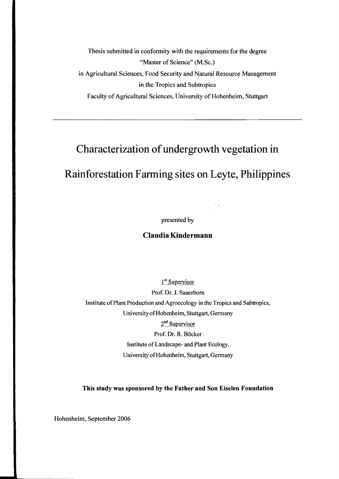Thesis submitted in conformity with the requirements for the degree "Master of Science" (M.Sc.) in Agricultural Sciences, Food Security and Natural Resource Management in the Tropics and Subtropics Faculty of Agricultural Sciences, University of Hohenheim, Stuttgart

## Characterization of undergrowth vegetation in

## Rainforestation Farming sites on Leyte, Philippines

presented by

## Claudia Kindermann

1<sup>st</sup> Supervisor

Prof. Dr. 1. Sauerbom Institute of Plant Production and Agroecology in the Tropics and Subtropics, University of Hohenheim, Stuttgart, Germany 2<sup>nd</sup> Supervisor Prof. Dr. R. Bäcker Institute of Landscape- and Plant Ecology, University of Hohenheim, Stuttgart, Germany

This study was sponsored by the Father and Son Eiselen Foundation

Hohenheim, September 2006